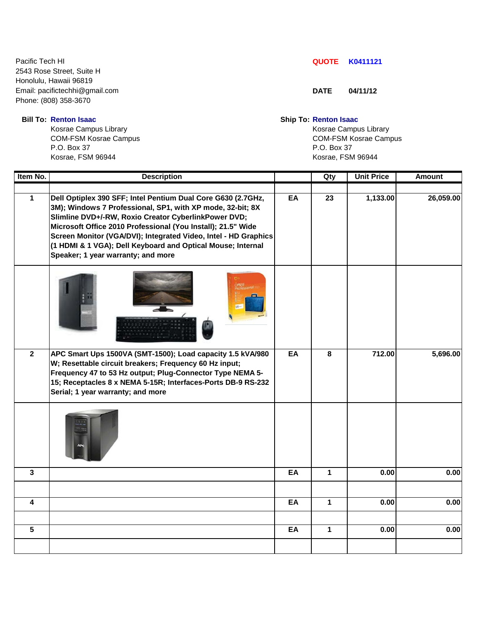Pacific Tech HI **QUOTE K0411121** 2543 Rose Street, Suite H Honolulu, Hawaii 96819 Email: pacifictechhi@gmail.com **DATE** 04/11/12 Phone: (808) 358-3670

Kosrae Campus Library **Kosrae Campus Library** Kosrae Campus Library P.O. Box 37 P.O. Box 37 Kosrae, FSM 96944 Kosrae, FSM 96944

 **Bill To: Renton Isaac Ship To: Renton Isaac**

COM-FSM Kosrae Campus COM-FSM Kosrae Campus

| Item No.                | <b>Description</b>                                                                                                                                                                                                                                                                                                                                                                                                         |    | Qty          | <b>Unit Price</b> | <b>Amount</b> |
|-------------------------|----------------------------------------------------------------------------------------------------------------------------------------------------------------------------------------------------------------------------------------------------------------------------------------------------------------------------------------------------------------------------------------------------------------------------|----|--------------|-------------------|---------------|
| $\mathbf{1}$            | Dell Optiplex 390 SFF; Intel Pentium Dual Core G630 (2.7GHz,<br>3M); Windows 7 Professional, SP1, with XP mode, 32-bit; 8X<br>Slimline DVD+/-RW, Roxio Creator CyberlinkPower DVD;<br>Microsoft Office 2010 Professional (You Install); 21.5" Wide<br>Screen Monitor (VGA/DVI); Integrated Video, Intel - HD Graphics<br>(1 HDMI & 1 VGA); Dell Keyboard and Optical Mouse; Internal<br>Speaker; 1 year warranty; and more | EA | 23           | 1,133.00          | 26,059.00     |
|                         |                                                                                                                                                                                                                                                                                                                                                                                                                            |    |              |                   |               |
| $\overline{2}$          | APC Smart Ups 1500VA (SMT-1500); Load capacity 1.5 kVA/980<br>W; Resettable circuit breakers; Frequency 60 Hz input;<br>Frequency 47 to 53 Hz output; Plug-Connector Type NEMA 5-<br>15; Receptacles 8 x NEMA 5-15R; Interfaces-Ports DB-9 RS-232<br>Serial; 1 year warranty; and more                                                                                                                                     | EA | 8            | 712.00            | 5,696.00      |
|                         |                                                                                                                                                                                                                                                                                                                                                                                                                            |    |              |                   |               |
| $\overline{\mathbf{3}}$ |                                                                                                                                                                                                                                                                                                                                                                                                                            | EA | $\mathbf{1}$ | 0.00              | 0.00          |
|                         |                                                                                                                                                                                                                                                                                                                                                                                                                            |    |              |                   |               |
| $\overline{\mathbf{4}}$ |                                                                                                                                                                                                                                                                                                                                                                                                                            | EA | $\mathbf{1}$ | 0.00              | 0.00          |
|                         |                                                                                                                                                                                                                                                                                                                                                                                                                            |    |              |                   |               |
| $5\phantom{.0}$         |                                                                                                                                                                                                                                                                                                                                                                                                                            | EA | $\mathbf 1$  | 0.00              | 0.00          |
|                         |                                                                                                                                                                                                                                                                                                                                                                                                                            |    |              |                   |               |